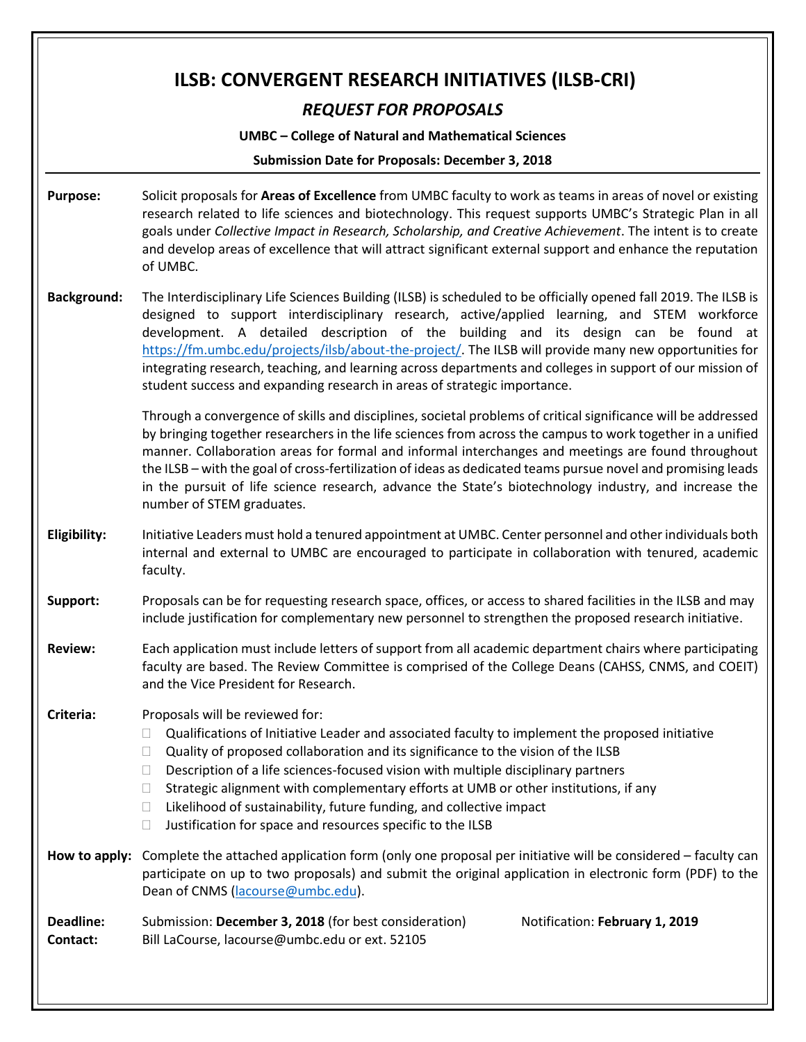# **ILSB: CONVERGENT RESEARCH INITIATIVES (ILSB-CRI)** *REQUEST FOR PROPOSALS* **UMBC – College of Natural and Mathematical Sciences Submission Date for Proposals: December 3, 2018 Purpose:** Solicit proposals for **Areas of Excellence** from UMBC faculty to work as teams in areas of novel or existing research related to life sciences and biotechnology. This request supports UMBC's Strategic Plan in all goals under *Collective Impact in Research, Scholarship, and Creative Achievement*. The intent is to create and develop areas of excellence that will attract significant external support and enhance the reputation of UMBC. **Background:** The Interdisciplinary Life Sciences Building (ILSB) is scheduled to be officially opened fall 2019. The ILSB is designed to support interdisciplinary research, active/applied learning, and STEM workforce development. A detailed description of the building and its design can be found at [https://fm.umbc.edu/projects/ilsb/about-the-project/.](https://fm.umbc.edu/projects/ilsb/about-the-project/) The ILSB will provide many new opportunities for integrating research, teaching, and learning across departments and colleges in support of our mission of student success and expanding research in areas of strategic importance. Through a convergence of skills and disciplines, societal problems of critical significance will be addressed by bringing together researchers in the life sciences from across the campus to work together in a unified manner. Collaboration areas for formal and informal interchanges and meetings are found throughout the ILSB – with the goal of cross-fertilization of ideas as dedicated teams pursue novel and promising leads in the pursuit of life science research, advance the State's biotechnology industry, and increase the number of STEM graduates. **Eligibility:** Initiative Leaders must hold a tenured appointment at UMBC. Center personnel and other individuals both internal and external to UMBC are encouraged to participate in collaboration with tenured, academic faculty. **Support:** Proposals can be for requesting research space, offices, or access to shared facilities in the ILSB and may include justification for complementary new personnel to strengthen the proposed research initiative. **Review:** Each application must include letters of support from all academic department chairs where participating faculty are based. The Review Committee is comprised of the College Deans (CAHSS, CNMS, and COEIT) and the Vice President for Research. **Criteria:** Proposals will be reviewed for:  $\Box$  Qualifications of Initiative Leader and associated faculty to implement the proposed initiative  $\Box$  Quality of proposed collaboration and its significance to the vision of the ILSB  $\Box$  Description of a life sciences-focused vision with multiple disciplinary partners  $\Box$  Strategic alignment with complementary efforts at UMB or other institutions, if any  $\Box$  Likelihood of sustainability, future funding, and collective impact  $\Box$  Justification for space and resources specific to the ILSB **How to apply:** Complete the attached application form (only one proposal per initiative will be considered – faculty can participate on up to two proposals) and submit the original application in electronic form (PDF) to the Dean of CNMS [\(lacourse@umbc.edu\)](mailto:lacourse@umbc.edu). **Deadline:** Submission: December 3, 2018 (for best consideration) Notification: February 1, 2019 **Contact:** Bill LaCourse, lacourse@umbc.edu or ext. 52105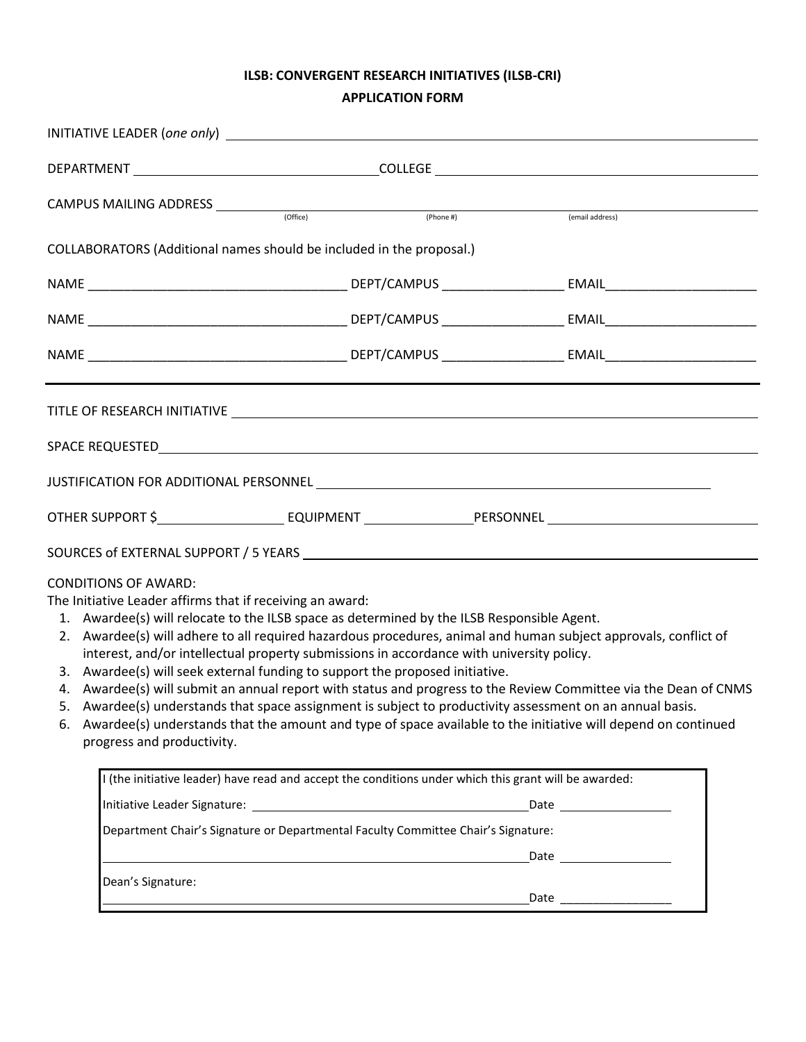# **ILSB: CONVERGENT RESEARCH INITIATIVES (ILSB-CRI) APPLICATION FORM**

|    | CAMPUS MAILING ADDRESS <u>CONSTRUCTION</u>                                                                             |                                                                                                                                                                                                                                                                                                                                                                                                                                                                                                                                                                                                                         |                                                                                                                  |  |
|----|------------------------------------------------------------------------------------------------------------------------|-------------------------------------------------------------------------------------------------------------------------------------------------------------------------------------------------------------------------------------------------------------------------------------------------------------------------------------------------------------------------------------------------------------------------------------------------------------------------------------------------------------------------------------------------------------------------------------------------------------------------|------------------------------------------------------------------------------------------------------------------|--|
|    |                                                                                                                        | (Phone #)                                                                                                                                                                                                                                                                                                                                                                                                                                                                                                                                                                                                               | (email address)                                                                                                  |  |
|    |                                                                                                                        | COLLABORATORS (Additional names should be included in the proposal.)                                                                                                                                                                                                                                                                                                                                                                                                                                                                                                                                                    |                                                                                                                  |  |
|    |                                                                                                                        |                                                                                                                                                                                                                                                                                                                                                                                                                                                                                                                                                                                                                         |                                                                                                                  |  |
|    |                                                                                                                        |                                                                                                                                                                                                                                                                                                                                                                                                                                                                                                                                                                                                                         |                                                                                                                  |  |
|    |                                                                                                                        |                                                                                                                                                                                                                                                                                                                                                                                                                                                                                                                                                                                                                         |                                                                                                                  |  |
|    |                                                                                                                        |                                                                                                                                                                                                                                                                                                                                                                                                                                                                                                                                                                                                                         |                                                                                                                  |  |
|    |                                                                                                                        |                                                                                                                                                                                                                                                                                                                                                                                                                                                                                                                                                                                                                         |                                                                                                                  |  |
|    |                                                                                                                        |                                                                                                                                                                                                                                                                                                                                                                                                                                                                                                                                                                                                                         |                                                                                                                  |  |
|    |                                                                                                                        |                                                                                                                                                                                                                                                                                                                                                                                                                                                                                                                                                                                                                         | OTHER SUPPORT \$__________________________EQUIPMENT __________________PERSONNEL _______________________________  |  |
|    |                                                                                                                        |                                                                                                                                                                                                                                                                                                                                                                                                                                                                                                                                                                                                                         |                                                                                                                  |  |
| 6. | <b>CONDITIONS OF AWARD:</b><br>The Initiative Leader affirms that if receiving an award:<br>progress and productivity. | 1. Awardee(s) will relocate to the ILSB space as determined by the ILSB Responsible Agent.<br>2. Awardee(s) will adhere to all required hazardous procedures, animal and human subject approvals, conflict of<br>interest, and/or intellectual property submissions in accordance with university policy.<br>3. Awardee(s) will seek external funding to support the proposed initiative.<br>5. Awardee(s) understands that space assignment is subject to productivity assessment on an annual basis.<br>Awardee(s) understands that the amount and type of space available to the initiative will depend on continued | 4. Awardee(s) will submit an annual report with status and progress to the Review Committee via the Dean of CNMS |  |
|    |                                                                                                                        | I (the initiative leader) have read and accept the conditions under which this grant will be awarded:                                                                                                                                                                                                                                                                                                                                                                                                                                                                                                                   |                                                                                                                  |  |
|    |                                                                                                                        |                                                                                                                                                                                                                                                                                                                                                                                                                                                                                                                                                                                                                         |                                                                                                                  |  |
|    |                                                                                                                        | Department Chair's Signature or Departmental Faculty Committee Chair's Signature:                                                                                                                                                                                                                                                                                                                                                                                                                                                                                                                                       |                                                                                                                  |  |
|    |                                                                                                                        |                                                                                                                                                                                                                                                                                                                                                                                                                                                                                                                                                                                                                         |                                                                                                                  |  |
|    | Dean's Signature:                                                                                                      |                                                                                                                                                                                                                                                                                                                                                                                                                                                                                                                                                                                                                         |                                                                                                                  |  |